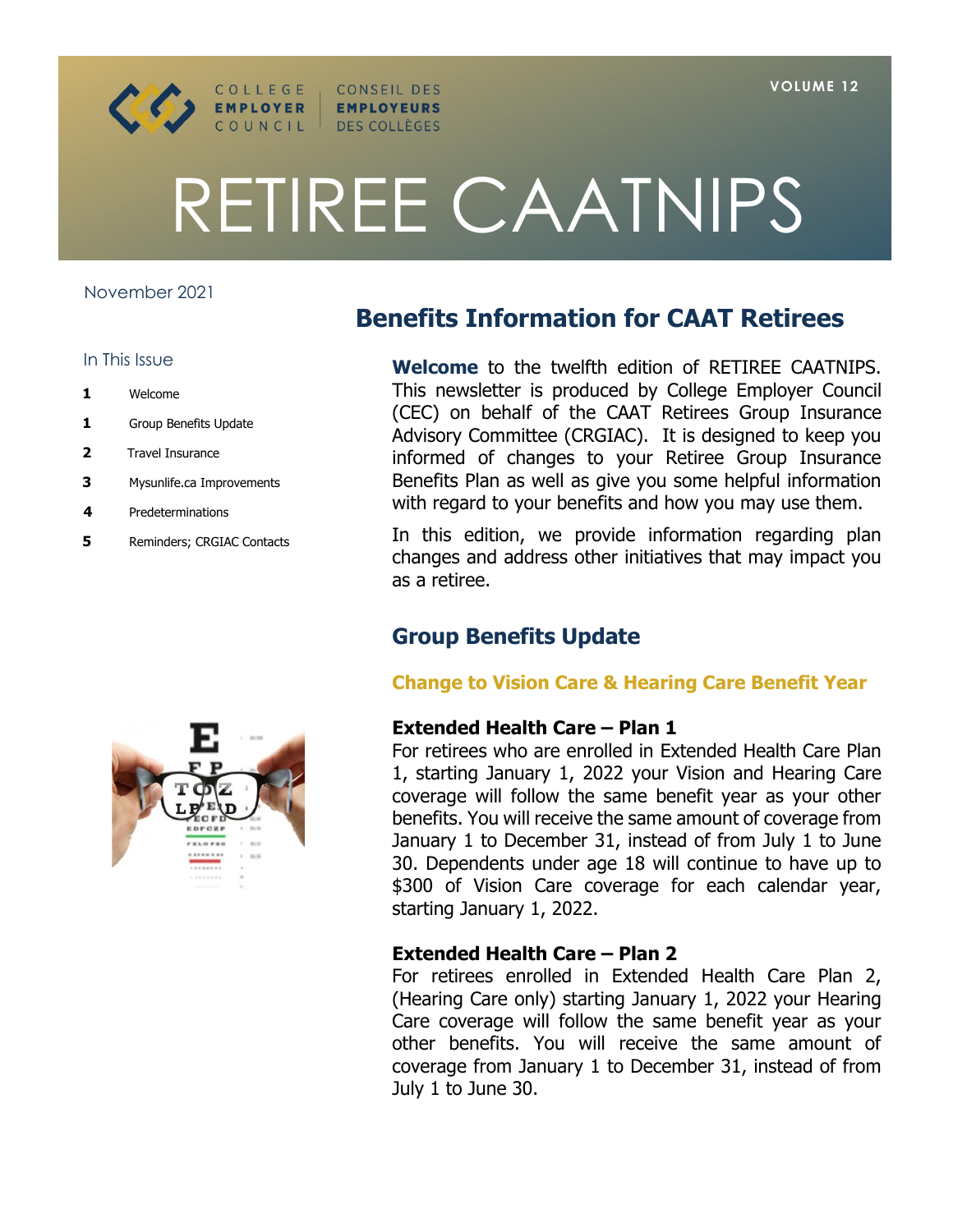

# RETIREE CAATNIPS

CONSEIL DES

**EMPLOYEURS** DES COLLÈGES

## November 2021

#### In This Issue

- **1** Welcome
- **1** Group Benefits Update
- **2** Travel Insurance
- **3** Mysunlife.ca Improvements
- **4** Predeterminations
- **5** Reminders; CRGIAC Contacts

# **Benefits Information for CAAT Retirees**

**Welcome** to the twelfth edition of RETIREE CAATNIPS. This newsletter is produced by College Employer Council (CEC) on behalf of the CAAT Retirees Group Insurance Advisory Committee (CRGIAC). It is designed to keep you informed of changes to your Retiree Group Insurance Benefits Plan as well as give you some helpful information with regard to your benefits and how you may use them.

In this edition, we provide information regarding plan changes and address other initiatives that may impact you as a retiree.

# **Group Benefits Update**

# **Change to Vision Care & Hearing Care Benefit Year**

# **Extended Health Care - Plan 1**

For retirees who are enrolled in Extended Health Care Plan 1, starting January 1, 2022 your Vision and Hearing Care coverage will follow the same benefit year as your other benefits. You will receive the same amount of coverage from January 1 to December 31, instead of from July 1 to June 30. Dependents under age 18 will continue to have up to \$300 of Vision Care coverage for each calendar year, starting January 1, 2022.

# **Extended Health Care – Plan 2**

For retirees enrolled in Extended Health Care Plan 2, (Hearing Care only) starting January 1, 2022 your Hearing Care coverage will follow the same benefit year as your other benefits. You will receive the same amount of coverage from January 1 to December 31, instead of from July 1 to June 30.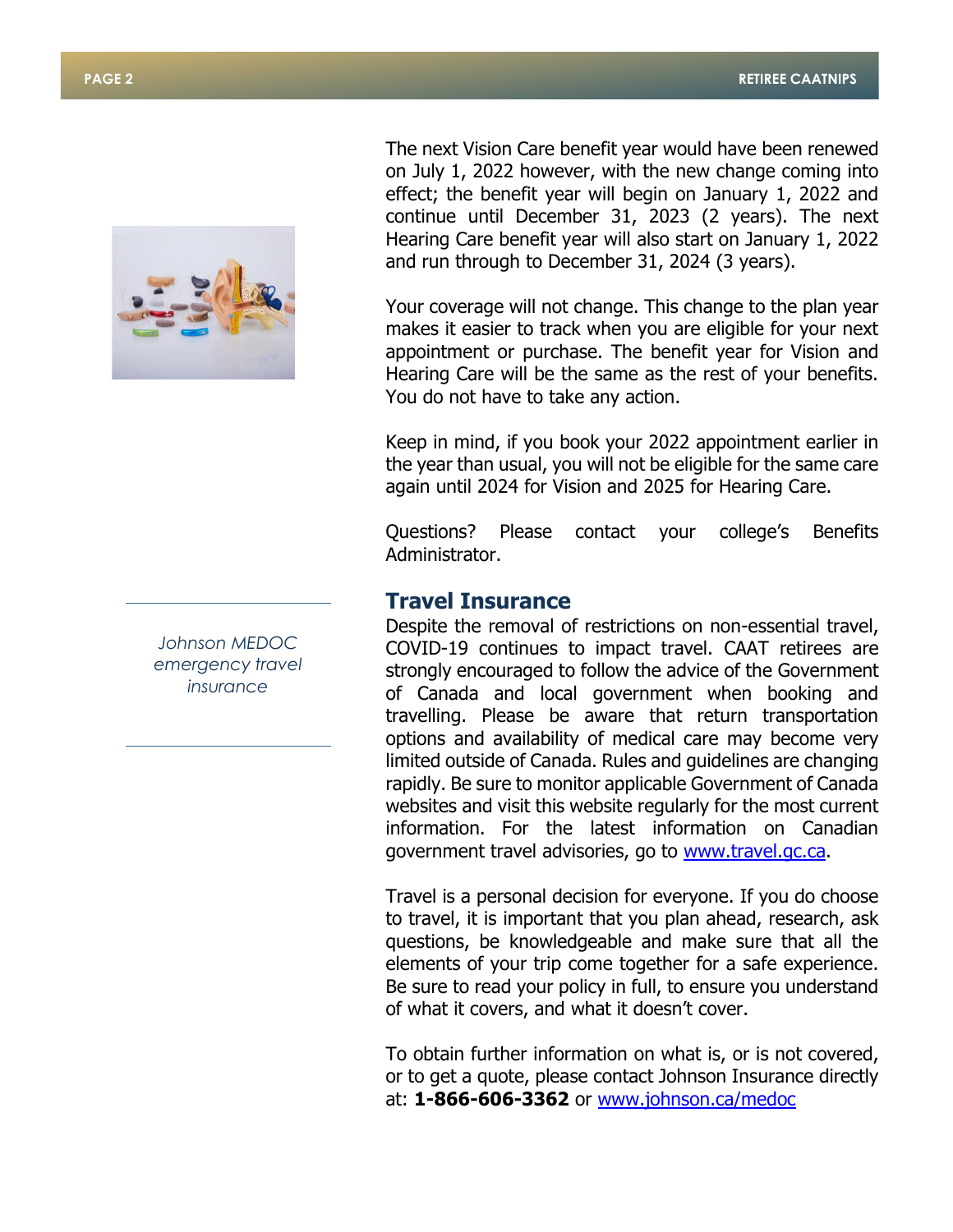

The next Vision Care benefit year would have been renewed on July 1, 2022 however, with the new change coming into effect; the benefit year will begin on January 1, 2022 and continue until December 31, 2023 (2 years). The next Hearing Care benefit year will also start on January 1, 2022 and run through to December 31, 2024 (3 years).

Your coverage will not change. This change to the plan year makes it easier to track when you are eligible for your next appointment or purchase. The benefit year for Vision and Hearing Care will be the same as the rest of your benefits. You do not have to take any action.

Keep in mind, if you book your 2022 appointment earlier in the year than usual, you will not be eligible for the same care again until 2024 for Vision and 2025 for Hearing Care.

Questions? Please contact your college's Benefits Administrator.

# **Travel Insurance**

Despite the removal of restrictions on non-essential travel, COVID-19 continues to impact travel. CAAT retirees are strongly encouraged to follow the advice of the Government of Canada and local government when booking and travelling. Please be aware that return transportation options and availability of medical care may become very limited outside of Canada. Rules and guidelines are changing rapidly. Be sure to monitor applicable Government of Canada websites and visit this website regularly for the most current information. For the latest information on Canadian government travel advisories, go to [www.travel.gc.ca.](http://www.travel.gc.ca/)

Travel is a personal decision for everyone. If you do choose to travel, it is important that you plan ahead, research, ask questions, be knowledgeable and make sure that all the elements of your trip come together for a safe experience. Be sure to read your policy in full, to ensure you understand of what it covers, and what it doesn't cover.

To obtain further information on what is, or is not covered, or to get a quote, please contact Johnson Insurance directly at: **1-866-606-3362** or [www.johnson.ca/medoc](http://www.johnson.ca/medoc)

*Johnson MEDOC emergency travel insurance*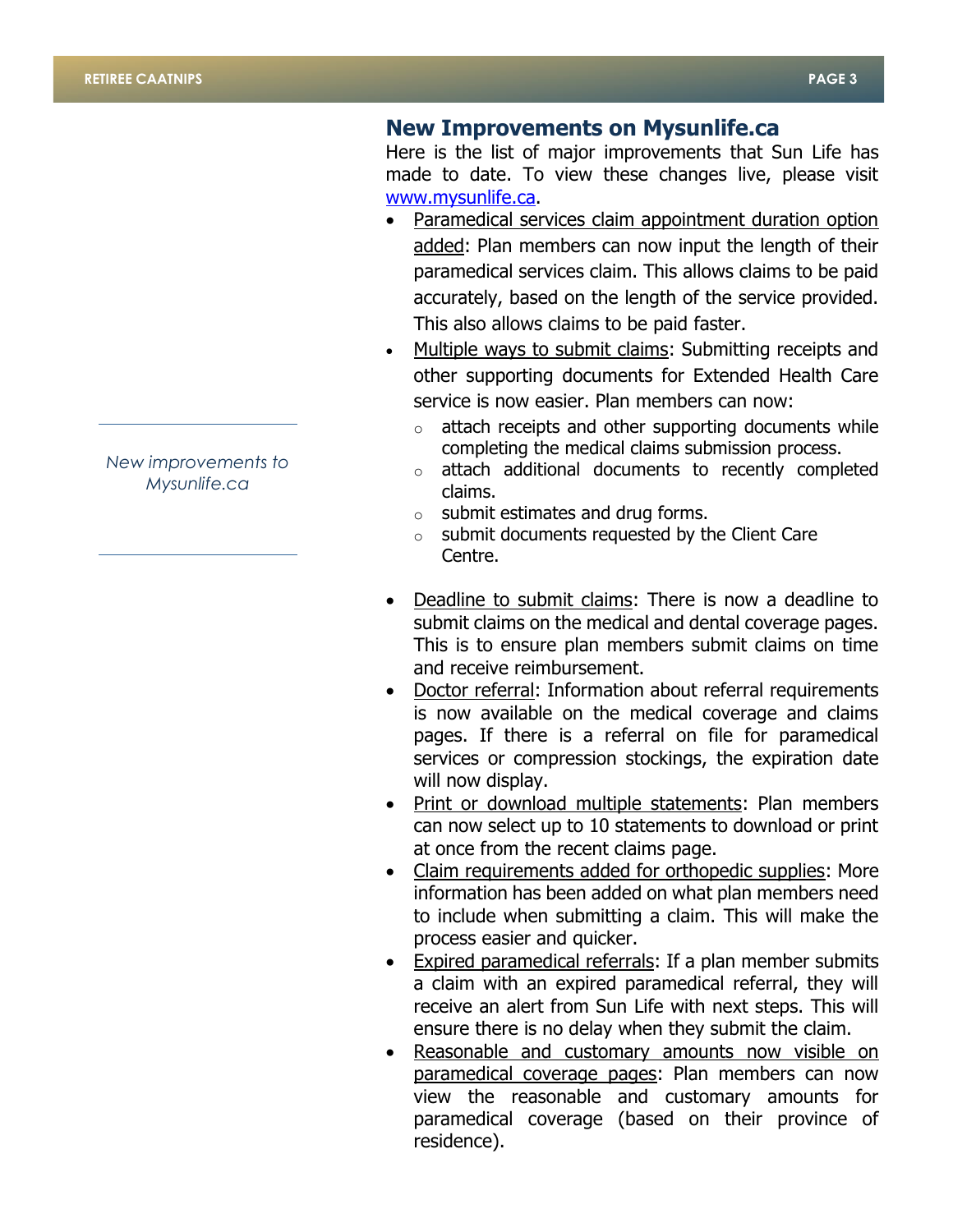# **New Improvements on Mysunlife.ca**

Here is the list of major improvements that Sun Life has made to date. To view these changes live, please visit [www.mysunlife.ca.](http://www.mysunlife.ca/)

- Paramedical services claim appointment duration option added: Plan members can now input the length of their paramedical services claim. This allows claims to be paid accurately, based on the length of the service provided. This also allows claims to be paid faster.
- Multiple ways to submit claims: Submitting receipts and other supporting documents for Extended Health Care service is now easier. Plan members can now:
	- o attach receipts and other supporting documents while completing the medical claims submission process.
	- o attach additional documents to recently completed claims.
	- $\circ$  submit estimates and drug forms.
	- $\circ$  submit documents requested by the Client Care Centre.
- Deadline to submit claims: There is now a deadline to submit claims on the medical and dental coverage pages. This is to ensure plan members submit claims on time and receive reimbursement.
- Doctor referral: Information about referral requirements is now available on the medical coverage and claims pages. If there is a referral on file for paramedical services or compression stockings, the expiration date will now display.
- Print or download multiple statements: Plan members can now select up to 10 statements to download or print at once from the recent claims page.
- Claim requirements added for orthopedic supplies: More information has been added on what plan members need to include when submitting a claim. This will make the process easier and quicker.
- Expired paramedical referrals: If a plan member submits a claim with an expired paramedical referral, they will receive an alert from Sun Life with next steps. This will ensure there is no delay when they submit the claim.
- Reasonable and customary amounts now visible on paramedical coverage pages: Plan members can now view the reasonable and customary amounts for paramedical coverage (based on their province of residence).

*New improvements to Mysunlife.ca*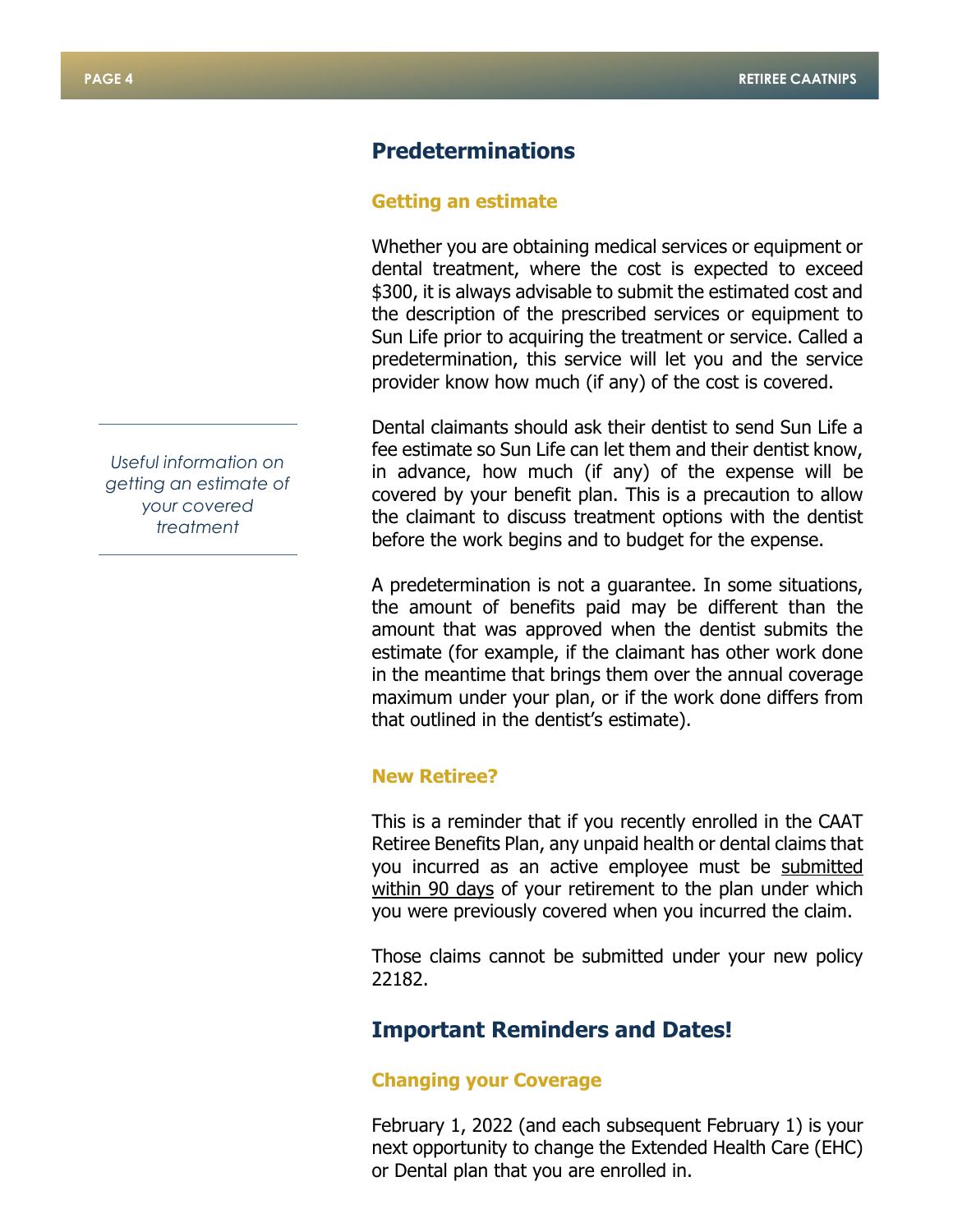# **Predeterminations**

#### **Getting an estimate**

Whether you are obtaining medical services or equipment or dental treatment, where the cost is expected to exceed \$300, it is always advisable to submit the estimated cost and the description of the prescribed services or equipment to Sun Life prior to acquiring the treatment or service. Called a predetermination, this service will let you and the service provider know how much (if any) of the cost is covered.

Dental claimants should ask their dentist to send Sun Life a fee estimate so Sun Life can let them and their dentist know, in advance, how much (if any) of the expense will be covered by your benefit plan. This is a precaution to allow the claimant to discuss treatment options with the dentist before the work begins and to budget for the expense.

A predetermination is not a guarantee. In some situations, the amount of benefits paid may be different than the amount that was approved when the dentist submits the estimate (for example, if the claimant has other work done in the meantime that brings them over the annual coverage maximum under your plan, or if the work done differs from that outlined in the dentist's estimate).

#### **New Retiree?**

This is a reminder that if you recently enrolled in the CAAT Retiree Benefits Plan, any unpaid health or dental claims that you incurred as an active employee must be submitted within 90 days of your retirement to the plan under which you were previously covered when you incurred the claim.

Those claims cannot be submitted under your new policy 22182.

# **Important Reminders and Dates!**

#### **Changing your Coverage**

February 1, 2022 (and each subsequent February 1) is your next opportunity to change the Extended Health Care (EHC) or Dental plan that you are enrolled in.

*Useful information on getting an estimate of your covered treatment*